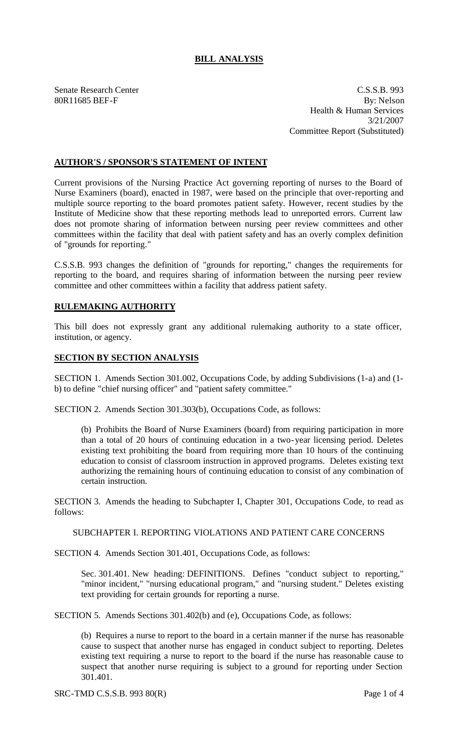# **BILL ANALYSIS**

Senate Research Center C.S.S.B. 993 80R11685 BEF-F By: Nelson Health & Human Services 3/21/2007 Committee Report (Substituted)

## **AUTHOR'S / SPONSOR'S STATEMENT OF INTENT**

Current provisions of the Nursing Practice Act governing reporting of nurses to the Board of Nurse Examiners (board), enacted in 1987, were based on the principle that over-reporting and multiple source reporting to the board promotes patient safety. However, recent studies by the Institute of Medicine show that these reporting methods lead to unreported errors. Current law does not promote sharing of information between nursing peer review committees and other committees within the facility that deal with patient safety and has an overly complex definition of "grounds for reporting."

C.S.S.B. 993 changes the definition of "grounds for reporting," changes the requirements for reporting to the board, and requires sharing of information between the nursing peer review committee and other committees within a facility that address patient safety.

### **RULEMAKING AUTHORITY**

This bill does not expressly grant any additional rulemaking authority to a state officer, institution, or agency.

### **SECTION BY SECTION ANALYSIS**

SECTION 1. Amends Section 301.002, Occupations Code, by adding Subdivisions (1-a) and (1 b) to define "chief nursing officer" and "patient safety committee."

SECTION 2. Amends Section 301.303(b), Occupations Code, as follows:

(b) Prohibits the Board of Nurse Examiners (board) from requiring participation in more than a total of 20 hours of continuing education in a two-year licensing period. Deletes existing text prohibiting the board from requiring more than 10 hours of the continuing education to consist of classroom instruction in approved programs. Deletes existing text authorizing the remaining hours of continuing education to consist of any combination of certain instruction.

SECTION 3. Amends the heading to Subchapter I, Chapter 301, Occupations Code, to read as follows:

#### SUBCHAPTER I. REPORTING VIOLATIONS AND PATIENT CARE CONCERNS

SECTION 4. Amends Section 301.401, Occupations Code, as follows:

Sec. 301.401. New heading: DEFINITIONS. Defines "conduct subject to reporting," "minor incident," "nursing educational program," and "nursing student." Deletes existing text providing for certain grounds for reporting a nurse.

SECTION 5. Amends Sections 301.402(b) and (e), Occupations Code, as follows:

(b) Requires a nurse to report to the board in a certain manner if the nurse has reasonable cause to suspect that another nurse has engaged in conduct subject to reporting. Deletes existing text requiring a nurse to report to the board if the nurse has reasonable cause to suspect that another nurse requiring is subject to a ground for reporting under Section 301.401.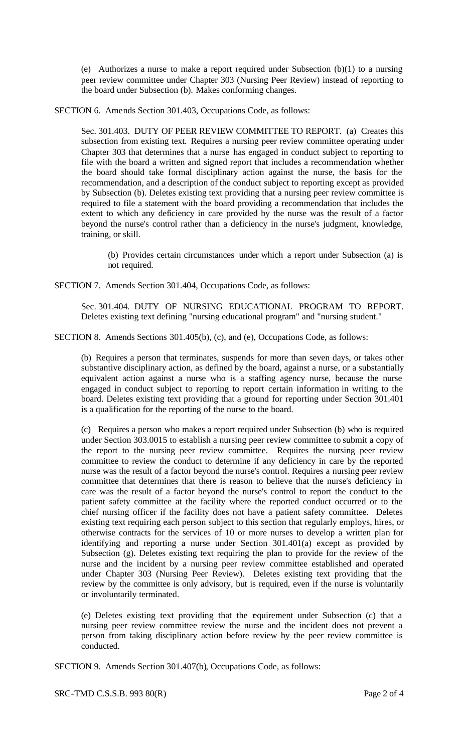(e) Authorizes a nurse to make a report required under Subsection (b)(1) to a nursing peer review committee under Chapter 303 (Nursing Peer Review) instead of reporting to the board under Subsection (b). Makes conforming changes.

SECTION 6. Amends Section 301.403, Occupations Code, as follows:

Sec. 301.403. DUTY OF PEER REVIEW COMMITTEE TO REPORT. (a) Creates this subsection from existing text. Requires a nursing peer review committee operating under Chapter 303 that determines that a nurse has engaged in conduct subject to reporting to file with the board a written and signed report that includes a recommendation whether the board should take formal disciplinary action against the nurse, the basis for the recommendation, and a description of the conduct subject to reporting except as provided by Subsection (b). Deletes existing text providing that a nursing peer review committee is required to file a statement with the board providing a recommendation that includes the extent to which any deficiency in care provided by the nurse was the result of a factor beyond the nurse's control rather than a deficiency in the nurse's judgment, knowledge, training, or skill.

(b) Provides certain circumstances under which a report under Subsection (a) is not required.

SECTION 7. Amends Section 301.404, Occupations Code, as follows:

Sec. 301.404. DUTY OF NURSING EDUCATIONAL PROGRAM TO REPORT. Deletes existing text defining "nursing educational program" and "nursing student."

SECTION 8. Amends Sections 301.405(b), (c), and (e), Occupations Code, as follows:

(b) Requires a person that terminates, suspends for more than seven days, or takes other substantive disciplinary action, as defined by the board, against a nurse, or a substantially equivalent action against a nurse who is a staffing agency nurse, because the nurse engaged in conduct subject to reporting to report certain information in writing to the board. Deletes existing text providing that a ground for reporting under Section 301.401 is a qualification for the reporting of the nurse to the board.

(c) Requires a person who makes a report required under Subsection (b) who is required under Section 303.0015 to establish a nursing peer review committee to submit a copy of the report to the nursing peer review committee. Requires the nursing peer review committee to review the conduct to determine if any deficiency in care by the reported nurse was the result of a factor beyond the nurse's control. Requires a nursing peer review committee that determines that there is reason to believe that the nurse's deficiency in care was the result of a factor beyond the nurse's control to report the conduct to the patient safety committee at the facility where the reported conduct occurred or to the chief nursing officer if the facility does not have a patient safety committee. Deletes existing text requiring each person subject to this section that regularly employs, hires, or otherwise contracts for the services of 10 or more nurses to develop a written plan for identifying and reporting a nurse under Section 301.401(a) except as provided by Subsection (g). Deletes existing text requiring the plan to provide for the review of the nurse and the incident by a nursing peer review committee established and operated under Chapter 303 (Nursing Peer Review). Deletes existing text providing that the review by the committee is only advisory, but is required, even if the nurse is voluntarily or involuntarily terminated.

(e) Deletes existing text providing that the requirement under Subsection (c) that a nursing peer review committee review the nurse and the incident does not prevent a person from taking disciplinary action before review by the peer review committee is conducted.

SECTION 9. Amends Section 301.407(b), Occupations Code, as follows: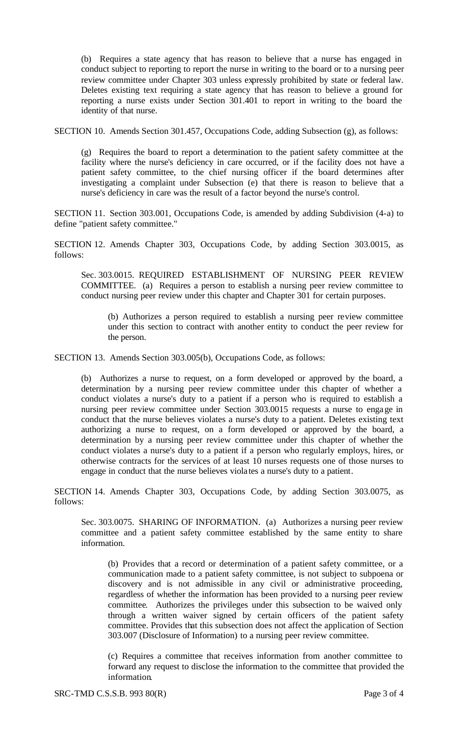(b) Requires a state agency that has reason to believe that a nurse has engaged in conduct subject to reporting to report the nurse in writing to the board or to a nursing peer review committee under Chapter 303 unless expressly prohibited by state or federal law. Deletes existing text requiring a state agency that has reason to believe a ground for reporting a nurse exists under Section 301.401 to report in writing to the board the identity of that nurse.

SECTION 10. Amends Section 301.457, Occupations Code, adding Subsection (g), as follows:

(g) Requires the board to report a determination to the patient safety committee at the facility where the nurse's deficiency in care occurred, or if the facility does not have a patient safety committee, to the chief nursing officer if the board determines after investigating a complaint under Subsection (e) that there is reason to believe that a nurse's deficiency in care was the result of a factor beyond the nurse's control.

SECTION 11. Section 303.001, Occupations Code, is amended by adding Subdivision (4-a) to define "patient safety committee."

SECTION 12. Amends Chapter 303, Occupations Code, by adding Section 303.0015, as follows:

Sec. 303.0015. REQUIRED ESTABLISHMENT OF NURSING PEER REVIEW COMMITTEE. (a) Requires a person to establish a nursing peer review committee to conduct nursing peer review under this chapter and Chapter 301 for certain purposes.

(b) Authorizes a person required to establish a nursing peer review committee under this section to contract with another entity to conduct the peer review for the person.

SECTION 13. Amends Section 303.005(b), Occupations Code, as follows:

(b) Authorizes a nurse to request, on a form developed or approved by the board, a determination by a nursing peer review committee under this chapter of whether a conduct violates a nurse's duty to a patient if a person who is required to establish a nursing peer review committee under Section 303.0015 requests a nurse to engage in conduct that the nurse believes violates a nurse's duty to a patient. Deletes existing text authorizing a nurse to request, on a form developed or approved by the board, a determination by a nursing peer review committee under this chapter of whether the conduct violates a nurse's duty to a patient if a person who regularly employs, hires, or otherwise contracts for the services of at least 10 nurses requests one of those nurses to engage in conduct that the nurse believes viola tes a nurse's duty to a patient.

SECTION 14. Amends Chapter 303, Occupations Code, by adding Section 303.0075, as follows:

Sec. 303.0075. SHARING OF INFORMATION. (a) Authorizes a nursing peer review committee and a patient safety committee established by the same entity to share information.

(b) Provides that a record or determination of a patient safety committee, or a communication made to a patient safety committee, is not subject to subpoena or discovery and is not admissible in any civil or administrative proceeding, regardless of whether the information has been provided to a nursing peer review committee. Authorizes the privileges under this subsection to be waived only through a written waiver signed by certain officers of the patient safety committee. Provides that this subsection does not affect the application of Section 303.007 (Disclosure of Information) to a nursing peer review committee.

(c) Requires a committee that receives information from another committee to forward any request to disclose the information to the committee that provided the information.